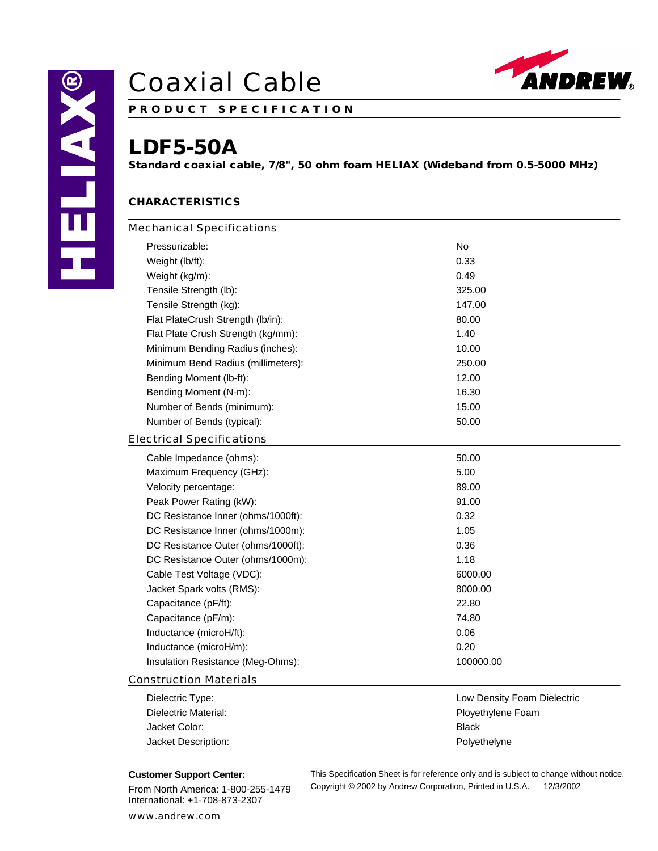

**P R O D U C T S P E C I F I C A T I O N**

### **LDF5-50A**

**Standard coaxial cable, 7/8", 50 ohm foam HELIAX (Wideband from 0.5-5000 MHz)**

### **CHARACTERISTICS**

| <b>Mechanical Specifications</b>   |           |  |
|------------------------------------|-----------|--|
| Pressurizable:                     | No        |  |
| Weight (lb/ft):                    | 0.33      |  |
| Weight (kg/m):                     | 0.49      |  |
| Tensile Strength (lb):             | 325.00    |  |
| Tensile Strength (kg):             | 147.00    |  |
| Flat PlateCrush Strength (lb/in):  | 80.00     |  |
| Flat Plate Crush Strength (kg/mm): | 1.40      |  |
| Minimum Bending Radius (inches):   | 10.00     |  |
| Minimum Bend Radius (millimeters): | 250.00    |  |
| Bending Moment (lb-ft):            | 12.00     |  |
| Bending Moment (N-m):              | 16.30     |  |
| Number of Bends (minimum):         | 15.00     |  |
| Number of Bends (typical):         | 50.00     |  |
| <b>Electrical Specifications</b>   |           |  |
| Cable Impedance (ohms):            | 50.00     |  |
| Maximum Frequency (GHz):           | 5.00      |  |
| Velocity percentage:               | 89.00     |  |
| Peak Power Rating (kW):            | 91.00     |  |
| DC Resistance Inner (ohms/1000ft): | 0.32      |  |
| DC Resistance Inner (ohms/1000m):  | 1.05      |  |
| DC Resistance Outer (ohms/1000ft): | 0.36      |  |
| DC Resistance Outer (ohms/1000m):  | 1.18      |  |
| Cable Test Voltage (VDC):          | 6000.00   |  |
| Jacket Spark volts (RMS):          | 8000.00   |  |
| Capacitance (pF/ft):               | 22.80     |  |
| Capacitance (pF/m):                | 74.80     |  |
| Inductance (microH/ft):            | 0.06      |  |
| Inductance (microH/m):             | 0.20      |  |
| Insulation Resistance (Meg-Ohms):  | 100000.00 |  |
| <b>Construction Materials</b>      |           |  |

| Dielectric Type:     | Low Density Foam Dielectric |
|----------------------|-----------------------------|
| Dielectric Material: | Ployethylene Foam           |
| Jacket Color:        | <b>Black</b>                |
| Jacket Description:  | Polyethelyne                |

### **Customer Support Center:**

From North America: 1-800-255-1479 International: +1-708-873-2307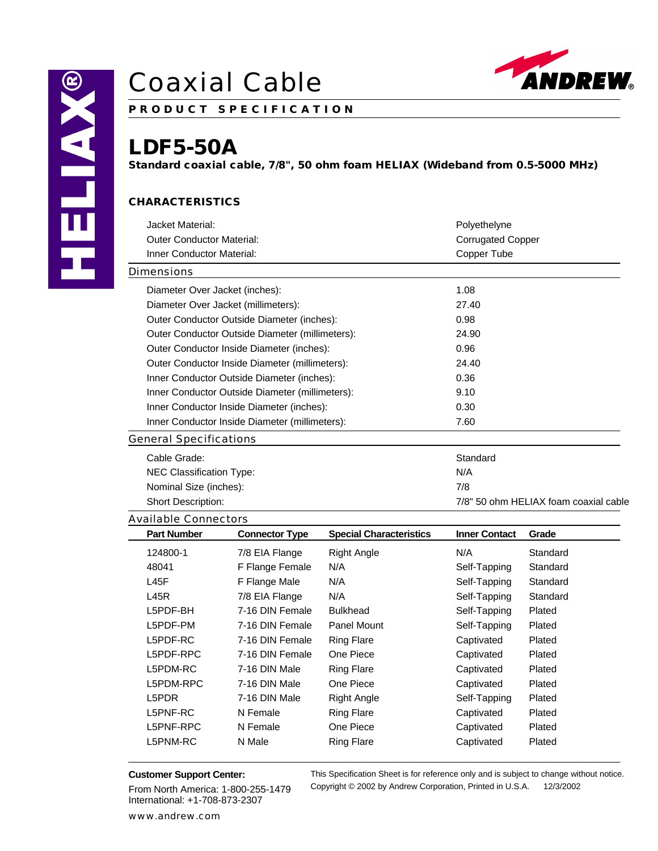

**P R O D U C T S P E C I F I C A T I O N**

### **LDF5-50A**

**Standard coaxial cable, 7/8", 50 ohm foam HELIAX (Wideband from 0.5-5000 MHz)**

### **CHARACTERISTICS**

| Jacket Material:                                |                       |                                       | Polyethelyne         |          |  |
|-------------------------------------------------|-----------------------|---------------------------------------|----------------------|----------|--|
| <b>Outer Conductor Material:</b>                |                       | <b>Corrugated Copper</b>              |                      |          |  |
| Inner Conductor Material:                       |                       | Copper Tube                           |                      |          |  |
| Dimensions                                      |                       |                                       |                      |          |  |
| Diameter Over Jacket (inches):                  |                       | 1.08                                  |                      |          |  |
| Diameter Over Jacket (millimeters):             |                       |                                       | 27.40                |          |  |
| Outer Conductor Outside Diameter (inches):      |                       |                                       | 0.98                 |          |  |
| Outer Conductor Outside Diameter (millimeters): |                       |                                       | 24.90                |          |  |
| Outer Conductor Inside Diameter (inches):       |                       |                                       | 0.96                 |          |  |
| Outer Conductor Inside Diameter (millimeters):  |                       |                                       | 24.40                |          |  |
| Inner Conductor Outside Diameter (inches):      |                       | 0.36                                  |                      |          |  |
| Inner Conductor Outside Diameter (millimeters): |                       | 9.10                                  |                      |          |  |
| Inner Conductor Inside Diameter (inches):       |                       | 0.30                                  |                      |          |  |
| Inner Conductor Inside Diameter (millimeters):  |                       | 7.60                                  |                      |          |  |
| <b>General Specifications</b>                   |                       |                                       |                      |          |  |
| Cable Grade:                                    |                       | Standard                              |                      |          |  |
| <b>NEC Classification Type:</b>                 |                       |                                       | N/A                  |          |  |
| Nominal Size (inches):                          |                       | 7/8                                   |                      |          |  |
| Short Description:                              |                       | 7/8" 50 ohm HELIAX foam coaxial cable |                      |          |  |
| <b>Available Connectors</b>                     |                       |                                       |                      |          |  |
| <b>Part Number</b>                              | <b>Connector Type</b> | <b>Special Characteristics</b>        | <b>Inner Contact</b> | Grade    |  |
| 124800-1                                        | 7/8 EIA Flange        | <b>Right Angle</b>                    | N/A                  | Standard |  |
| 48041                                           | F Flange Female       | N/A                                   | Self-Tapping         | Standard |  |

| 124800-1  | 7/8 EIA Flange  | <b>Right Angle</b> | N/A          | Standard |
|-----------|-----------------|--------------------|--------------|----------|
| 48041     | F Flange Female | N/A                | Self-Tapping | Standard |
| L45F      | F Flange Male   | N/A                | Self-Tapping | Standard |
| L45R      | 7/8 EIA Flange  | N/A                | Self-Tapping | Standard |
| L5PDF-BH  | 7-16 DIN Female | <b>Bulkhead</b>    | Self-Tapping | Plated   |
| L5PDF-PM  | 7-16 DIN Female | Panel Mount        | Self-Tapping | Plated   |
| L5PDF-RC  | 7-16 DIN Female | <b>Ring Flare</b>  | Captivated   | Plated   |
| L5PDF-RPC | 7-16 DIN Female | One Piece          | Captivated   | Plated   |
| L5PDM-RC  | 7-16 DIN Male   | <b>Ring Flare</b>  | Captivated   | Plated   |
| L5PDM-RPC | 7-16 DIN Male   | One Piece          | Captivated   | Plated   |
| L5PDR     | 7-16 DIN Male   | <b>Right Angle</b> | Self-Tapping | Plated   |
| L5PNF-RC  | N Female        | <b>Ring Flare</b>  | Captivated   | Plated   |
| L5PNF-RPC | N Female        | One Piece          | Captivated   | Plated   |
| L5PNM-RC  | N Male          | <b>Ring Flare</b>  | Captivated   | Plated   |
|           |                 |                    |              |          |

### **Customer Support Center:**

From North America: 1-800-255-1479 International: +1-708-873-2307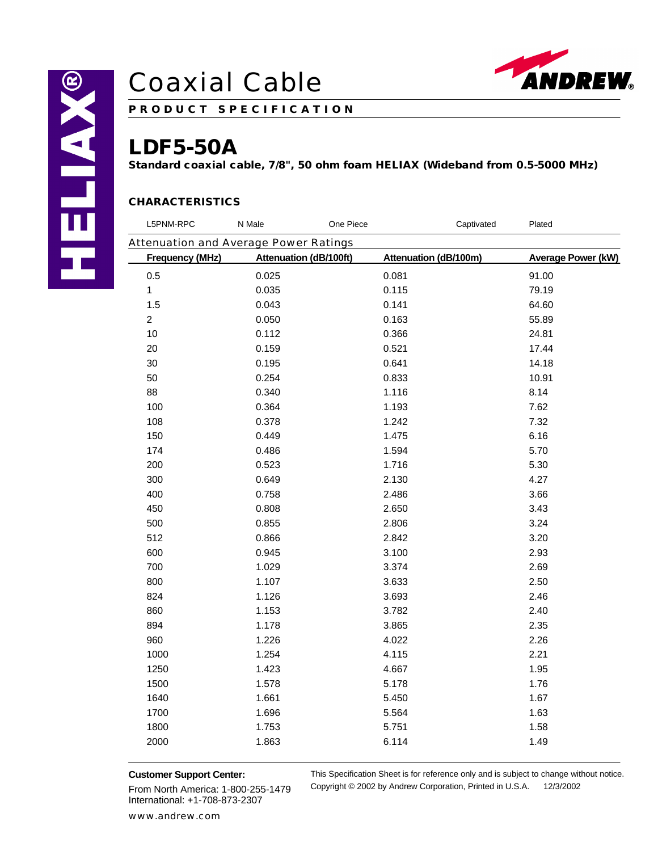

**P R O D U C T S P E C I F I C A T I O N**

## **LDF5-50A**

**Standard coaxial cable, 7/8", 50 ohm foam HELIAX (Wideband from 0.5-5000 MHz)**

### **CHARACTERISTICS**

| L5PNM-RPC                             | N Male                        | One Piece | Captivated            | Plated                    |
|---------------------------------------|-------------------------------|-----------|-----------------------|---------------------------|
| Attenuation and Average Power Ratings |                               |           |                       |                           |
| <b>Frequency (MHz)</b>                | <b>Attenuation (dB/100ft)</b> |           | Attenuation (dB/100m) | <b>Average Power (kW)</b> |
| 0.5                                   | 0.025                         | 0.081     |                       | 91.00                     |
| 1                                     | 0.035                         | 0.115     |                       | 79.19                     |
| 1.5                                   | 0.043                         | 0.141     |                       | 64.60                     |
| $\overline{c}$                        | 0.050                         | 0.163     |                       | 55.89                     |
| 10                                    | 0.112                         | 0.366     |                       | 24.81                     |
| 20                                    | 0.159                         | 0.521     |                       | 17.44                     |
| 30                                    | 0.195                         | 0.641     |                       | 14.18                     |
| 50                                    | 0.254                         | 0.833     |                       | 10.91                     |
| 88                                    | 0.340                         | 1.116     |                       | 8.14                      |
| 100                                   | 0.364                         | 1.193     |                       | 7.62                      |
| 108                                   | 0.378                         | 1.242     |                       | 7.32                      |
| 150                                   | 0.449                         | 1.475     |                       | 6.16                      |
| 174                                   | 0.486                         | 1.594     |                       | 5.70                      |
| 200                                   | 0.523                         | 1.716     |                       | 5.30                      |
| 300                                   | 0.649                         | 2.130     |                       | 4.27                      |
| 400                                   | 0.758                         | 2.486     |                       | 3.66                      |
| 450                                   | 0.808                         | 2.650     |                       | 3.43                      |
| 500                                   | 0.855                         | 2.806     |                       | 3.24                      |
| 512                                   | 0.866                         | 2.842     |                       | 3.20                      |
| 600                                   | 0.945                         | 3.100     |                       | 2.93                      |
| 700                                   | 1.029                         | 3.374     |                       | 2.69                      |
| 800                                   | 1.107                         | 3.633     |                       | 2.50                      |
| 824                                   | 1.126                         | 3.693     |                       | 2.46                      |
| 860                                   | 1.153                         | 3.782     |                       | 2.40                      |
| 894                                   | 1.178                         | 3.865     |                       | 2.35                      |
| 960                                   | 1.226                         | 4.022     |                       | 2.26                      |
| 1000                                  | 1.254                         | 4.115     |                       | 2.21                      |
| 1250                                  | 1.423                         | 4.667     |                       | 1.95                      |
| 1500                                  | 1.578                         | 5.178     |                       | 1.76                      |
| 1640                                  | 1.661                         | 5.450     |                       | 1.67                      |
| 1700                                  | 1.696                         | 5.564     |                       | 1.63                      |
| 1800                                  | 1.753                         | 5.751     |                       | 1.58                      |
| 2000                                  | 1.863                         | 6.114     |                       | 1.49                      |
|                                       |                               |           |                       |                           |

#### **Customer Support Center:**

From North America: 1-800-255-1479 International: +1-708-873-2307